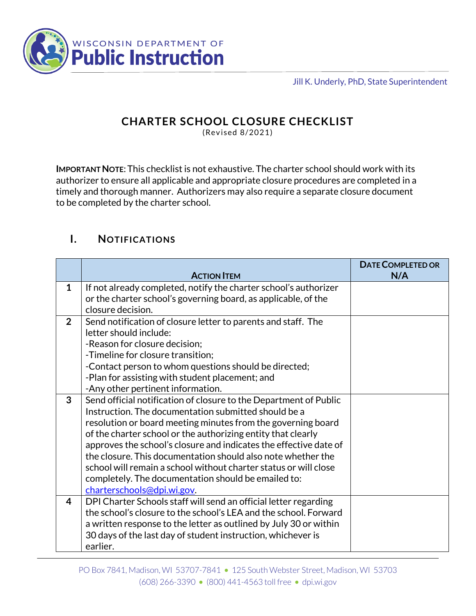

Jill K. Underly, PhD, State Superintendent

#### **CHARTER SCHOOL CLOSURE CHECKLIST**

(Revised 8/2021)

**IMPORTANT NOTE**: This checklist is not exhaustive. The charter school should work with its authorizer to ensure all applicable and appropriate closure procedures are completed in a timely and thorough manner. Authorizers may also require a separate closure document to be completed by the charter school.

#### **I. NOTIFICATIONS**

|                |                                                                   | <b>DATE COMPLETED OR</b> |
|----------------|-------------------------------------------------------------------|--------------------------|
|                | <b>ACTION ITEM</b>                                                | N/A                      |
| $\mathbf{1}$   | If not already completed, notify the charter school's authorizer  |                          |
|                | or the charter school's governing board, as applicable, of the    |                          |
|                | closure decision.                                                 |                          |
| $\overline{2}$ | Send notification of closure letter to parents and staff. The     |                          |
|                | letter should include:                                            |                          |
|                | -Reason for closure decision;                                     |                          |
|                | -Timeline for closure transition;                                 |                          |
|                | -Contact person to whom questions should be directed;             |                          |
|                | -Plan for assisting with student placement; and                   |                          |
|                | -Any other pertinent information.                                 |                          |
| 3              | Send official notification of closure to the Department of Public |                          |
|                | Instruction. The documentation submitted should be a              |                          |
|                | resolution or board meeting minutes from the governing board      |                          |
|                | of the charter school or the authorizing entity that clearly      |                          |
|                | approves the school's closure and indicates the effective date of |                          |
|                | the closure. This documentation should also note whether the      |                          |
|                | school will remain a school without charter status or will close  |                          |
|                | completely. The documentation should be emailed to:               |                          |
|                | charterschools@dpi.wi.gov.                                        |                          |
| 4              | DPI Charter Schools staff will send an official letter regarding  |                          |
|                | the school's closure to the school's LEA and the school. Forward  |                          |
|                | a written response to the letter as outlined by July 30 or within |                          |
|                | 30 days of the last day of student instruction, whichever is      |                          |
|                | earlier.                                                          |                          |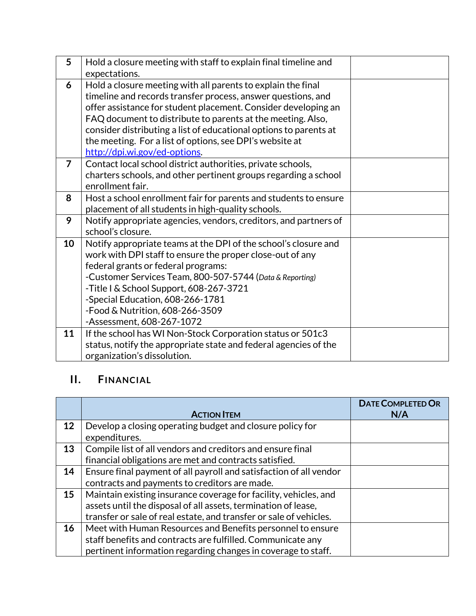| 5              | Hold a closure meeting with staff to explain final timeline and                                                                                                                                                                                                                                                                                                                                                                 |  |
|----------------|---------------------------------------------------------------------------------------------------------------------------------------------------------------------------------------------------------------------------------------------------------------------------------------------------------------------------------------------------------------------------------------------------------------------------------|--|
|                | expectations.                                                                                                                                                                                                                                                                                                                                                                                                                   |  |
| 6              | Hold a closure meeting with all parents to explain the final<br>timeline and records transfer process, answer questions, and<br>offer assistance for student placement. Consider developing an<br>FAQ document to distribute to parents at the meeting. Also,<br>consider distributing a list of educational options to parents at<br>the meeting. For a list of options, see DPI's website at<br>http://dpi.wi.gov/ed-options. |  |
| $\overline{7}$ | Contact local school district authorities, private schools,<br>charters schools, and other pertinent groups regarding a school<br>enrollment fair.                                                                                                                                                                                                                                                                              |  |
| 8              | Host a school enrollment fair for parents and students to ensure<br>placement of all students in high-quality schools.                                                                                                                                                                                                                                                                                                          |  |
| 9              | Notify appropriate agencies, vendors, creditors, and partners of<br>school's closure.                                                                                                                                                                                                                                                                                                                                           |  |
| 10             | Notify appropriate teams at the DPI of the school's closure and<br>work with DPI staff to ensure the proper close-out of any<br>federal grants or federal programs:<br>-Customer Services Team, 800-507-5744 (Data & Reporting)<br>-Title I & School Support, 608-267-3721<br>-Special Education, 608-266-1781<br>-Food & Nutrition, 608-266-3509<br>-Assessment, 608-267-1072                                                  |  |
| 11             | If the school has WI Non-Stock Corporation status or 501c3<br>status, notify the appropriate state and federal agencies of the<br>organization's dissolution.                                                                                                                                                                                                                                                                   |  |

## **II. FINANCIAL**

|    |                                                                    | <b>DATE COMPLETED OR</b> |
|----|--------------------------------------------------------------------|--------------------------|
|    | <b>ACTION ITEM</b>                                                 | N/A                      |
| 12 | Develop a closing operating budget and closure policy for          |                          |
|    | expenditures.                                                      |                          |
| 13 | Compile list of all vendors and creditors and ensure final         |                          |
|    | financial obligations are met and contracts satisfied.             |                          |
| 14 | Ensure final payment of all payroll and satisfaction of all vendor |                          |
|    | contracts and payments to creditors are made.                      |                          |
| 15 | Maintain existing insurance coverage for facility, vehicles, and   |                          |
|    | assets until the disposal of all assets, termination of lease,     |                          |
|    | transfer or sale of real estate, and transfer or sale of vehicles. |                          |
| 16 | Meet with Human Resources and Benefits personnel to ensure         |                          |
|    | staff benefits and contracts are fulfilled. Communicate any        |                          |
|    | pertinent information regarding changes in coverage to staff.      |                          |